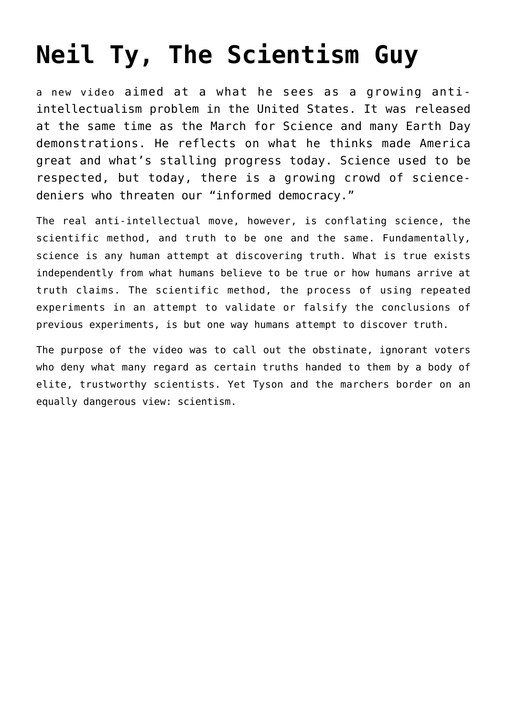# **[Neil Ty, The Scientism Guy](https://intellectualtakeout.org/2017/04/neil-ty-the-scientism-guy/)**

a new video aimed at a what he sees as a growing antiintellectualism problem in the United States. It was released at the same time as the March for Science and many Earth Day demonstrations. He reflects on what he thinks made America great and what's stalling progress today. Science used to be respected, but today, there is a growing crowd of sciencedeniers who threaten our "informed democracy."

The real anti-intellectual move, however, is conflating science, the scientific method, and truth to be one and the same. Fundamentally, science is any human attempt at discovering truth. What is true exists independently from what humans believe to be true or how humans arrive at truth claims. The scientific method, the process of using repeated experiments in an attempt to validate or falsify the conclusions of previous experiments, is but one way humans attempt to discover truth.

The purpose of the video was to call out the obstinate, ignorant voters who deny what many regard as certain truths handed to them by a body of elite, trustworthy scientists. Yet Tyson and the marchers border on an equally dangerous view: scientism.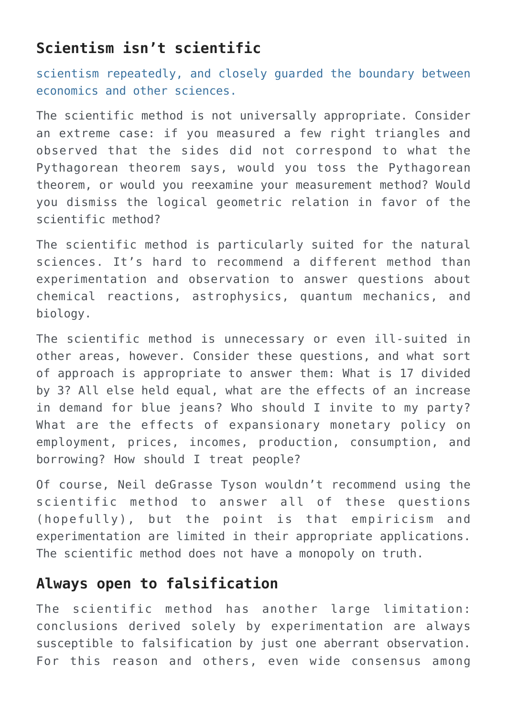## **Scientism isn't scientific**

scientism repeatedly, and closely guarded the boundary between economics and other sciences.

The scientific method is not universally appropriate. Consider an extreme case: if you measured a few right triangles and observed that the sides did not correspond to what the Pythagorean theorem says, would you toss the Pythagorean theorem, or would you reexamine your measurement method? Would you dismiss the logical geometric relation in favor of the scientific method?

The scientific method is particularly suited for the natural sciences. It's hard to recommend a different method than experimentation and observation to answer questions about chemical reactions, astrophysics, quantum mechanics, and biology.

The scientific method is unnecessary or even ill-suited in other areas, however. Consider these questions, and what sort of approach is appropriate to answer them: What is 17 divided by 3? All else held equal, what are the effects of an increase in demand for blue jeans? Who should I invite to my party? What are the effects of expansionary monetary policy on employment, prices, incomes, production, consumption, and borrowing? How should I treat people?

Of course, Neil deGrasse Tyson wouldn't recommend using the scientific method to answer all of these questions (hopefully), but the point is that empiricism and experimentation are limited in their appropriate applications. The scientific method does not have a monopoly on truth.

## **Always open to falsification**

The scientific method has another large limitation: conclusions derived solely by experimentation are always susceptible to falsification by just one aberrant observation. For this reason and others, even wide consensus among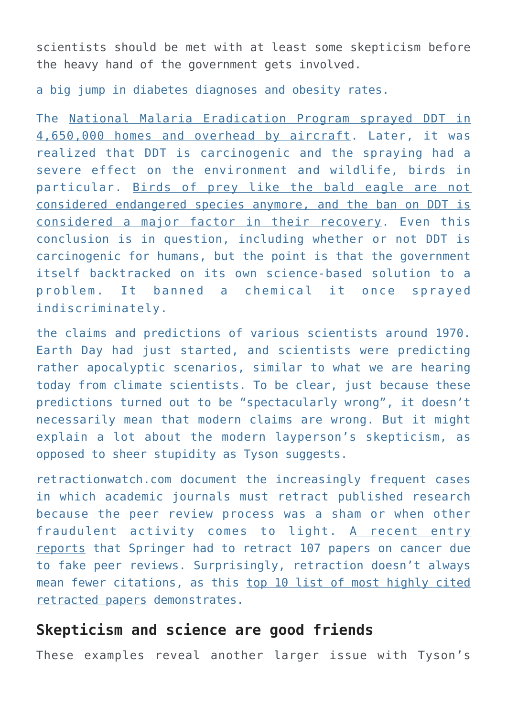scientists should be met with at least some skepticism before the heavy hand of the government gets involved.

a big jump in diabetes diagnoses and obesity rates.

The [National Malaria Eradication Program sprayed DDT in](https://www.cdc.gov/malaria/about/history/elimination_us.html) [4,650,000 homes and overhead by aircraft](https://www.cdc.gov/malaria/about/history/elimination_us.html). Later, it was realized that DDT is carcinogenic and the spraying had a severe effect on the environment and wildlife, birds in particular. [Birds of prey like the bald eagle are not](https://www.fws.gov/midwest/Eagle/recovery/biologue.html) [considered endangered species anymore, and the ban on DDT is](https://www.fws.gov/midwest/Eagle/recovery/biologue.html) [considered a major factor in their recovery.](https://www.fws.gov/midwest/Eagle/recovery/biologue.html) Even this conclusion is in question, including whether or not DDT is carcinogenic for humans, but the point is that the government itself backtracked on its own science-based solution to a problem. It banned a chemical it once sprayed indiscriminately.

the claims and predictions of various scientists around 1970. Earth Day had just started, and scientists were predicting rather apocalyptic scenarios, similar to what we are hearing today from climate scientists. To be clear, just because these predictions turned out to be "spectacularly wrong", it doesn't necessarily mean that modern claims are wrong. But it might explain a lot about the modern layperson's skepticism, as opposed to sheer stupidity as Tyson suggests.

retractionwatch.com document the increasingly frequent cases in which academic journals must retract published research because the peer review process was a sham or when other fraudulent activity comes to light. [A recent entry](http://retractionwatch.com/2017/04/20/new-record-major-publisher-retracting-100-studies-cancer-journal-fake-peer-reviews/) [reports](http://retractionwatch.com/2017/04/20/new-record-major-publisher-retracting-100-studies-cancer-journal-fake-peer-reviews/) that Springer had to retract 107 papers on cancer due to fake peer reviews. Surprisingly, retraction doesn't always mean fewer citations, as this [top 10 list of most highly cited](http://retractionwatch.com/the-retraction-watch-leaderboard/top-10-most-highly-cited-retracted-papers/) [retracted papers](http://retractionwatch.com/the-retraction-watch-leaderboard/top-10-most-highly-cited-retracted-papers/) demonstrates.

#### **Skepticism and science are good friends**

These examples reveal another larger issue with Tyson's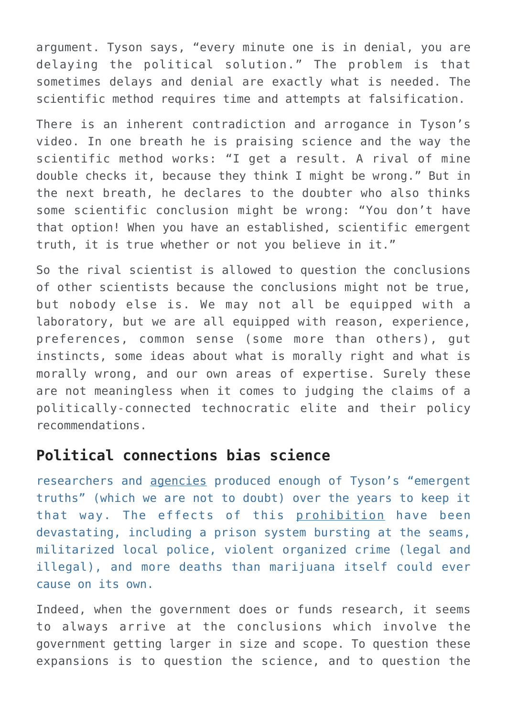argument. Tyson says, "every minute one is in denial, you are delaying the political solution." The problem is that sometimes delays and denial are exactly what is needed. The scientific method requires time and attempts at falsification.

There is an inherent contradiction and arrogance in Tyson's video. In one breath he is praising science and the way the scientific method works: "I get a result. A rival of mine double checks it, because they think I might be wrong." But in the next breath, he declares to the doubter who also thinks some scientific conclusion might be wrong: "You don't have that option! When you have an established, scientific emergent truth, it is true whether or not you believe in it."

So the rival scientist is allowed to question the conclusions of other scientists because the conclusions might not be true, but nobody else is. We may not all be equipped with a laboratory, but we are all equipped with reason, experience, preferences, common sense (some more than others), gut instincts, some ideas about what is morally right and what is morally wrong, and our own areas of expertise. Surely these are not meaningless when it comes to judging the claims of a politically-connected technocratic elite and their policy recommendations.

#### **Political connections bias science**

researchers and [agencies](https://en.wikipedia.org/wiki/National_Institute_on_Drug_Abuse) produced enough of Tyson's "emergent truths" (which we are not to doubt) over the years to keep it that way. The effects of this [prohibition](https://mises.org/library/economics-prohibition-0) have been devastating, including a prison system bursting at the seams, militarized local police, violent organized crime (legal and illegal), and more deaths than marijuana itself could ever cause on its own.

Indeed, when the government does or funds research, it seems to always arrive at the conclusions which involve the government getting larger in size and scope. To question these expansions is to question the science, and to question the